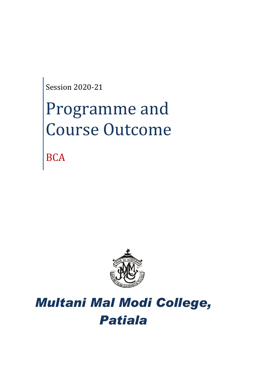Session 2020-21

# Programme and Course Outcome

**BCA** 



## *Multani Mal Modi College, Patiala*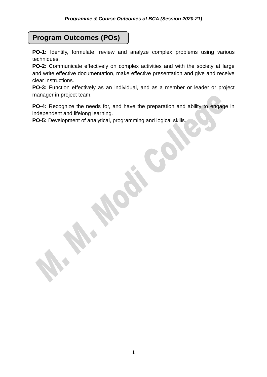## **Program Outcomes (POs)**

**PO-1:** Identify, formulate, review and analyze complex problems using various techniques.

**PO-2:** Communicate effectively on complex activities and with the society at large and write effective documentation, make effective presentation and give and receive clear instructions.

**PO-3:** Function effectively as an individual, and as a member or leader or project manager in project team.

**PO-4:** Recognize the needs for, and have the preparation and ability to engage in independent and lifelong learning.

**PO-5:** Development of analytical, programming and logical skills.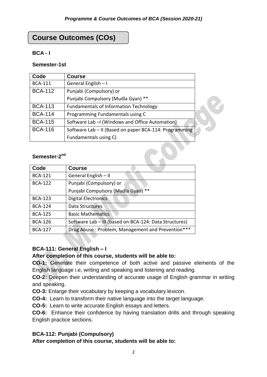X

## **Course Outcomes (COs)**

## **BCA - I**

## **Semester-1st**

| Code                     | <b>Course</b>                                          |
|--------------------------|--------------------------------------------------------|
| <b>BCA-111</b>           | General English - I                                    |
| <b>BCA-112</b>           | Punjabi (Compulsory) or                                |
|                          | Punjabi Compulsory (Mudla Gyan) **                     |
| <b>BCA-113</b>           | <b>Fundamentals of Information Technology</b>          |
| <b>BCA-114</b>           | Programming Fundamentals using C                       |
| <b>BCA-115</b>           | Software Lab - (Windows and Office Automation)         |
| <b>BCA-116</b>           | Software Lab - II (Based on paper BCA-114: Programming |
|                          | Fundamentals using C)                                  |
| Semester-2 <sup>nd</sup> |                                                        |

## Semester-2<sup>nd</sup>

| Code           | <b>Course</b>                                          |
|----------------|--------------------------------------------------------|
| <b>BCA-121</b> | General English - II                                   |
| <b>BCA-122</b> | Punjabi (Compulsory) or                                |
|                | Punjabi Compulsory (Mudla Gyan) **                     |
| <b>BCA-123</b> | Digital Electronics                                    |
| <b>BCA-124</b> | Data Structures                                        |
| <b>BCA-125</b> | <b>Basic Mathematics</b>                               |
| <b>BCA-126</b> | Software Lab - III (based on BCA-124: Data Structures) |
| <b>BCA-127</b> | Drug Abuse: Problem, Management and Prevention***      |

## **BCA-111: General English – I**

**SAN SE** 

## **After completion of this course, students will be able to:**

**CO-1:** Generate their competence of both active and passive elements of the English language i.e, writing and speaking and listening and reading.

**CO-2:** Deepen their understanding of accurate usage of English grammar in writing and speaking.

**CO-3:** Enlarge their vocabulary by keeping a vocabulary lexicon.

**CO-4:** Learn to transform their native language into the target language.

**CO-5:** Learn to write accurate English essays and letters.

**CO-6:** Enhance their confidence by having translation drills and through speaking English practice sections.

## **BCA-112: Punjabi (Compulsory)**

**After completion of this course, students will be able to:**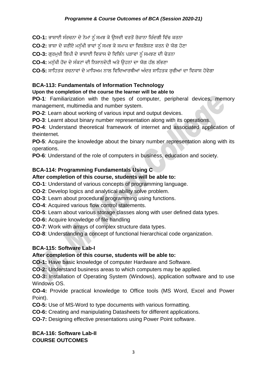CO-1: ਭਾਸ਼ਾਈ ਸੰਰਚਨਾ ਦੇ ਨੇਮਾਂ ਨੂੰ ਸਮਝ ਕੇ ਉਸਦੀ ਵਰਤੋਂ ਰੋਜ਼ਾਨਾ ਜ਼ਿੰਦਗੀ ਵਿੱਚ ਕਰਨਾ

CO-2: ਭਾਸ਼ਾ ਦੇ ਜਰੀਏ ਮਨੁੱਖੀ ਭਾਵਾਂ ਨੂੰ ਸਮਝ ਕੇ ਸਮਾਜ ਦਾ ਵਿਸ਼ਲੇਸ਼ਣ ਕਰਨ ਦੇ ਯੋਗ ਹੋਣਾ

CO-3: ਗਰਮਖੀ ਲਿਪੀ ਦੇ ਭਾਸ਼ਾਈ ਵਿਕਾਸ ਦੇ ਵਿਭਿੰਨ ਪੜਾਵਾਂ ਨੂੰ ਸਮਝਣ ਦੀ ਚੇਤਨਾ

**CO-4:** ਮਨ ਿੱਖੀ ਹੋਂਦ ਦੇਸੰਕਟਾਾਂ ਦੀ ਜ਼ਨਸ਼ਾਨਦੇਹੀ ਅਤੇਉਹਨਾਾਂ ਦਾ ਯੋਗ ਹਿੱਲ ਲਿੱਭਣਾ

CO-5: ਸਾਹਿਤਕ ਰਚਨਾਵਾਂ ਦੇ ਮਾਧਿਅਮ ਨਾਲ ਵਿਦਿਆਰਥੀਆਂ ਅੰਦਰ ਸਾਹਿਤਕ ਰੁਚੀਆਂ ਦਾ ਵਿਕਾਸ ਹੋਵੇਗਾ

## **BCA-113: Fundamentals of Information Technology**

## **Upon the completion of the course the learner will be able to**

**PO-1**: Familiarization with the types of computer, peripheral devices, memory management, multimedia and number system.

**PO-2**: Learn about working of various input and output devices.

**PO-3**: Learnt about binary number representation along with its operations.

**PO-4**: Understand theoretical framework of internet and associated application of theinternet.

**PO-5**: Acquire the knowledge about the binary number representation along with its operations.

**PO-6**: Understand of the role of computers in business, education and society.

## **BCA-114: Programming Fundamentals Using C**

## **After completion of this course, students will be able to:**

**CO-1**: Understand of various concepts of programming language.

**CO-2**: Develop logics and analytical ability solve problem.

**CO-3**: Learn about procedural programming using functions.

**CO-4**: Acquired various flow control statements.

**CO-5**: Learn about various storage classes along with user defined data types.

**CO-6:** Acquire knowledge of file handling

**CO-7**: Work with arrays of complex structure data types.

**CO-8**: Understanding a concept of functional hierarchical code organization.

## **BCA-115: Software Lab-I**

## **After completion of this course, students will be able to:**

**CO-1:** Have basic knowledge of computer Hardware and Software.

**CO-2:** Understand business areas to which computers may be applied.

**CO-3:** Installation of Operating System (Windows), application software and to use Windows OS.

**CO-4:** Provide practical knowledge to Office tools (MS Word, Excel and Power Point).

**CO-5:** Use of MS-Word to type documents with various formatting.

**CO-6:** Creating and manipulating Datasheets for different applications.

**CO-7:** Designing effective presentations using Power Point software.

## **BCA-116: Software Lab-II COURSE OUTCOMES**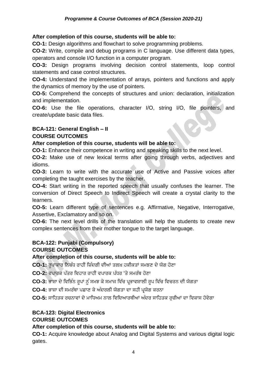## **After completion of this course, students will be able to:**

**CO-1:** Design algorithms and flowchart to solve programming problems.

**CO-2:** Write, compile and debug programs in C language. Use different data types, operators and console I/O function in a computer program.

**CO-3:** Design programs involving decision control statements, loop control statements and case control structures.

**CO-4:** Understand the implementation of arrays, pointers and functions and apply the dynamics of memory by the use of pointers.

**CO-5:** Comprehend the concepts of structures and union: declaration, initialization and implementation.

**CO-6:** Use the file operations, character I/O, string I/O, file pointers, and create/update basic data files.

## **BCA-121: General English – II COURSE OUTCOMES**

## **After completion of this course, students will be able to:**

**CO-1:** Enhance their competence in writing and speaking skills to the next level.

**CO-2:** Make use of new lexical terms after going through verbs, adjectives and idioms.

**CO-3:** Learn to write with the accurate use of Active and Passive voices after completing the taught exercises by the teacher.

**CO-4:** Start writing in the reported speech that usually confuses the learner. The conversion of Direct Speech to Indirect Speech will create a crystal clarity to the learners.

**CO-5:** Learn different type of sentences e.g. Affirmative, Negative, Interrogative, Assertive, Exclamatory and so on.

**CO-6:** The next level drills of the translation will help the students to create new complex sentences from their mother tongue to the target language.

## **BCA-122: Punjabi (Compulsory)**

## **COURSE OUTCOMES**

## **After completion of this course, students will be able to:**

**CO-1:** ਰਪਾਕਾਰ ਨਿਬੰਧ ਰਾਹੀਂ ਜ਼ਿੰਦਗੀ ਦੀਆਂ ਤਲਖ਼ ਹਕੀਕਤਾਂ ਸਮਝਣ ਦੇ ਯੋਗ ਹੋਣਾ

**CO-2:** ਵਪਾਰਕ ਪਿੱਤਰ ਜ਼ਵਹਾਰ ਰਾਹੀਂ ਵਪਾਰਕ ਪਿੱਿਰ 'ਤੇਸਮਰਿੱਥ ਹੋਣਾ

CO-3: ਭਾਸ਼ਾ ਦੇ ਵਿਭਿੰਨ ਰਪਾਂ ਨੂੰ ਸਮਝ ਕੇ ਸਮਾਜ ਵਿੱਚ ਪਭਾਵਸ਼ਾਲੀ ਰਪ ਵਿੱਚ ਵਿਚਰਨ ਦੀ ਯੋਗਤਾ

**CO-4:** ਭਾਸ਼ਾ ਦੀ ਸਮਰਿੱਥਾ ਪਛਾਣ ਕੇਅੰਦਰਲੀ ਯੋਗਤਾ ਦਾ ਸਹੀ ਪਰਯੋਗ ਕਰਨਾ

**CO-5:** ਸਾਜ਼ਹਤਕ ਰਚਨਾਵਾਾਂ ਦੇਮਾਜ਼ਿਅਮ ਨਾਲ ਜ਼ਵਜ਼ਦਆਰਥੀਆਾਂ ਅੰਦਰ ਸਾਜ਼ਹਤਕ ਰ ਚੀਆਾਂ ਦਾ ਜ਼ਵਕਾਸ ਹੋਵੇਗਾ

#### **BCA-123: Digital Electronics COURSE OUTCOMES**

## **After completion of this course, students will be able to:**

**CO-1:** Acquire knowledge about Analog and Digital Systems and various digital logic gates.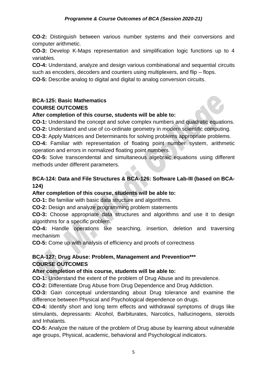**CO-2:** Distinguish between various number systems and their conversions and computer arithmetic.

**CO-3:** Develop K-Maps representation and simplification logic functions up to 4 variables.

**CO-4:** Understand, analyze and design various combinational and sequential circuits such as encoders, decoders and counters using multiplexers, and flip – flops.

**CO-5:** Describe analog to digital and digital to analog conversion circuits.

## **BCA-125: Basic Mathematics COURSE OUTCOMES**

## **After completion of this course, students will be able to:**

**CO-1:** Understand the concept and solve complex numbers and quadratic equations.

**CO-2:** Understand and use of co-ordinate geometry in modern scientific computing.

**CO-3:** Apply Matrices and Determinants for solving problems appropriate problems.

**CO-4:** Familiar with representation of floating point number system, arithmetic operation and errors in normalized floating point numbers.

**CO-5:** Solve transcendental and simultaneous algebraic equations using different methods under different parameters.

## **BCA-124: Data and File Structures & BCA-126: Software Lab-III (based on BCA-124)**

## **After completion of this course, students will be able to:**

**CO-1:** Be familiar with basic data structure and algorithms.

**CO-2:** Design and analyze programming problem statements

**CO-3:** Choose appropriate data structures and algorithms and use it to design algorithms for a specific problem.

**CO-4:** Handle operations like searching, insertion, deletion and traversing mechanism

**CO-5:** Come up with analysis of efficiency and proofs of correctness

## **BCA-127: Drug Abuse: Problem, Management and Prevention\*\*\* COURSE OUTCOMES**

## **After completion of this course, students will be able to:**

**CO-1:** Understand the extent of the problem of Drug Abuse and its prevalence.

**CO-2:** Differentiate Drug Abuse from Drug Dependence and Drug Addiction.

**CO-3:** Gain conceptual understanding about Drug tolerance and examine the difference between Physical and Psychological dependence on drugs.

**CO-4:** Identify short and long term effects and withdrawal symptoms of drugs like stimulants, depressants: Alcohol, Barbiturates, Narcotics, hallucinogens, steroids and Inhalants.

**CO-5:** Analyze the nature of the problem of Drug abuse by learning about vulnerable age groups, Physical, academic, behavioral and Psychological indicators.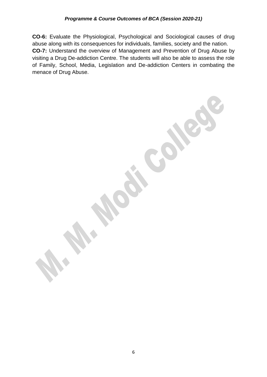**CO-6:** Evaluate the Physiological, Psychological and Sociological causes of drug abuse along with its consequences for individuals, families, society and the nation. **CO-7:** Understand the overview of Management and Prevention of Drug Abuse by visiting a Drug De-addiction Centre. The students will also be able to assess the role of Family, School, Media, Legislation and De-addiction Centers in combating the menace of Drug Abuse.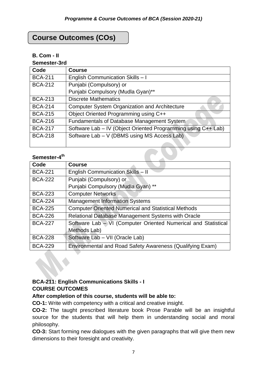## **Course Outcomes (COs)**

## **B. Com - II**

**Semester-3rd**

| Code           | <b>Course</b>                                                 |
|----------------|---------------------------------------------------------------|
| <b>BCA-211</b> | English Communication Skills - I                              |
| <b>BCA-212</b> | Punjabi (Compulsory) or                                       |
|                | Punjabi Compulsory (Mudla Gyan)**                             |
| <b>BCA-213</b> | <b>Discrete Mathematics</b>                                   |
| <b>BCA-214</b> | <b>Computer System Organization and Architecture</b>          |
| <b>BCA-215</b> | Object Oriented Programming using C++                         |
| <b>BCA-216</b> | Fundamentals of Database Management System                    |
| <b>BCA-217</b> | Software Lab - IV (Object Oriented Programming using C++ Lab) |
| <b>BCA-218</b> | Software Lab - V (DBMS using MS Access Lab)                   |
|                |                                                               |

## **Semester-4 th**

| Code           | <b>Course</b>                                                  |
|----------------|----------------------------------------------------------------|
| <b>BCA-221</b> | English Communication Skills - II                              |
| <b>BCA-222</b> | Punjabi (Compulsory) or                                        |
|                | Punjabi Compulsory (Mudla Gyan) **                             |
| <b>BCA-223</b> | <b>Computer Networks</b>                                       |
| <b>BCA-224</b> | <b>Management Information Systems</b>                          |
| <b>BCA-225</b> | <b>Computer Oriented Numerical and Statistical Methods</b>     |
| <b>BCA-226</b> | Relational Database Management Systems with Oracle             |
| <b>BCA-227</b> | Software Lab - VI (Computer Oriented Numerical and Statistical |
|                | Methods Lab)                                                   |
| <b>BCA-228</b> | Software Lab - VII (Oracle Lab)                                |
| <b>BCA-229</b> | Environmental and Road Safety Awareness (Qualifying Exam)      |

## **BCA-211: English Communications Skills - I COURSE OUTCOMES**

## **After completion of this course, students will be able to:**

**CO-1:** Write with competency with a critical and creative insight.

**CO-2:** The taught prescribed literature book Prose Parable will be an insightful source for the students that will help them in understanding social and moral philosophy.

**CO-3:** Start forming new dialogues with the given paragraphs that will give them new dimensions to their foresight and creativity.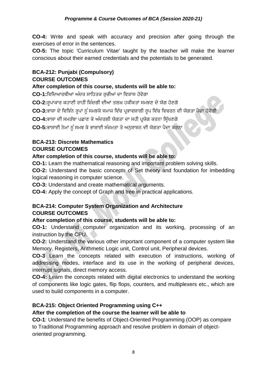**CO-4:** Write and speak with accuracy and precision after going through the exercises of error in the sentences.

**CO-5:** The topic 'Curriculum Vitae' taught by the teacher will make the learner conscious about their earned credentials and the potentials to be generated.

## **BCA-212: Punjabi (Compulsory) COURSE OUTCOMES**

## **After completion of this course, students will be able to:**

**CO-1:**ਜ਼ਵਜ਼ਦਆਰਥੀਆਾਂ ਅੰਦਰ ਸਾਜ਼ਹਤਕ ਰ ਚੀਆਾਂ ਦਾ ਜ਼ਵਕਾਸ ਹੋਵੇਗਾ

CO-2:ਰੁਪਾਕਾਰ ਕਹਾਣੀ ਰਾਹੀਂ ਜ਼ਿੰਦਗੀ ਦੀਆਂ ਤਲਖ਼ ਹਕੀਕਤਾਂ ਸਮਝਣ ਦੇ ਯੋਗ ਹੋਣਗੇ

CO-3:ਭਾਸ਼ਾ ਦੇ ਵਿਭਿੰਨ ਰਪਾਂ ਨੰ ਸਮਝਕੇ ਸਮਾਜ ਵਿੱਚ ਪ੍ਰਭਾਵਸ਼ਾਲੀ ਰਪ ਵਿੱਚ ਵਿਚਰਨ ਦੀ ਯੋਗਤਾ ਪੈਦਾ ਹੋਵੇਗੀ

CO-4:ਭਾਸ਼ਾ ਦੀ ਸਮਰੱਥਾ ਪਛਾਣ ਕੇ ਅੰਦਰਲੀ ਯੋਗਤਾ ਦਾ ਸਹੀ ਪਯੋਗ ਕਰਨਾ ਸਿੱਖਣਗੇ

CO-5:ਭਾਸ਼ਾਈ ਨੇਮਾਂ ਨੂੰ ਸਮਝ ਕੇ ਭਾਸ਼ਾਈ ਸੰਜਮਤਾ ਤੇ ਅਨਸ਼ਾਸ਼ਨ ਦੀ ਯੋਗਤਾ ਪੈਦਾ ਕਰਨਾ

#### **BCA-213: Discrete Mathematics COURSE OUTCOMES**

## **After completion of this course, students will be able to:**

**CO-1:** Learn the mathematical reasoning and important problem solving skills.

**CO-2:** Understand the basic concepts of Set theory and foundation for imbedding logical reasoning in computer science.

**CO-3:** Understand and create mathematical arguments.

**CO-4:** Apply the concept of Graph and tree in practical applications.

## **BCA-214: Computer System Organization and Architecture COURSE OUTCOMES**

## **After completion of this course, students will be able to:**

**CO-1:** Understand computer organization and its working, processing of an instruction by the CPU.

**CO-2:** Understand the various other important component of a computer system like Memory, Registers, Arithmetic Logic unit, Control unit, Peripheral devices.

**CO-3** Learn the concepts related with execution of instructions, working of addressing modes, interface and its use in the working of peripheral devices, interrupt signals, direct memory access.

**CO-4:** Learn the concepts related with digital electronics to understand the working of components like logic gates, flip flops, counters, and multiplexers etc., which are used to build components in a computer.

## **BCA-215: Object Oriented Programming using C++**

## **After the completion of the course the learner will be able to**

**CO-1**: Understand the benefits of Object-Oriented Programming (OOP) as compare to Traditional Programming approach and resolve problem in domain of objectoriented programming.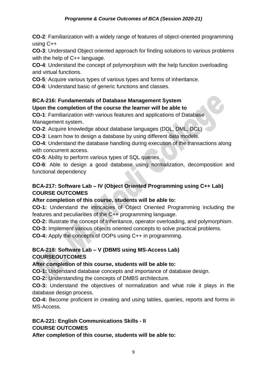**CO-2**: Familiarization with a widely range of features of object-oriented programming using C++

**CO-3**: Understand Object oriented approach for finding solutions to various problems with the help of C++ language.

**CO-4**: Understand the concept of polymorphism with the help function overloading and virtual functions.

**CO-5**: Acquire various types of various types and forms of inheritance.

**CO-6**: Understand basic of generic functions and classes.

## **BCA-216: Fundamentals of Database Management System Upon the completion of the course the learner will be able to**

**CO-1**: Familiarization with various features and applications of Database Management system.

**CO-2**: Acquire knowledge about database languages (DDL, DML, DCL)

**CO-3**: Learn how to design a database by using different data models.

**CO-4**: Understand the database handling during execution of the transactions along with concurrent access.

**CO-5**: Ability to perform various types of SQL queries.

**CO-6**: Able to design a good database using normalization, decomposition and functional dependency

## **BCA-217: Software Lab – IV (Object Oriented Programming using C++ Lab) COURSE OUTCOMES**

## **After completion of this course, students will be able to:**

**CO-1:** Understand the intricacies of Object Oriented Programming including the features and peculiarities of the C++ programming language.

**CO-2:** Illustrate the concept of Inheritance, operator overloading, and polymorphism.

**CO-3:** Implement various objects oriented concepts to solve practical problems.

**CO-4:** Apply the concepts of OOPs using C++ in programming.

## **BCA-218: Software Lab – V (DBMS using MS-Access Lab) COURSEOUTCOMES**

## **After completion of this course, students will be able to:**

**CO-1:** Understand database concepts and importance of database design.

**CO-2:** Understanding the concepts of DMBS architecture.

**CO-3:** Understand the objectives of normalization and what role it plays in the database design process.

**CO-4:** Become proficient in creating and using tables, queries, reports and forms in MS-Access.

#### **BCA-221: English Communications Skills - II COURSE OUTCOMES**

**After completion of this course, students will be able to:**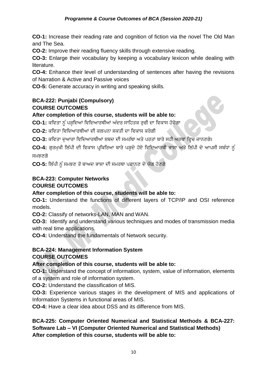**CO-1:** Increase their reading rate and cognition of fiction via the novel The Old Man and The Sea.

**CO-2:** Improve their reading fluency skills through extensive reading.

**CO-3:** Enlarge their vocabulary by keeping a vocabulary lexicon while dealing with literature.

**CO-4:** Enhance their level of understanding of sentences after having the revisions of Narration & Active and Passive voices

**CO-5:** Generate accuracy in writing and speaking skills.

## **BCA-222: Punjabi (Compulsory) COURSE OUTCOMES**

## **After completion of this course, students will be able to:**

CO-1: ਕਵਿਤਾ ਨੂੰ ਪੜ੍ਹਦਿਆਂ ਵਿਦਿਆਰਥੀਆਂ ਅੰਦਰ ਸਾਹਿਤਕ ਰਚੀ ਦਾ ਵਿਕਾਸ ਹੋਵੇਗਾ

**CO-2:** ਕਜ਼ਵਤਾ ਜ਼ਵਜ਼ਦਆਰਥੀਆਾਂ ਦੀ ਕਲਪਨਾ ਸ਼ਕਤੀ ਦਾ ਜ਼ਵਕਾਸ ਕਰੇਗੀ

**CO-3:** ਕਵਿਤਾ ਦੁਆਰਾ ਵਿਦਿਆਰਥੀਆਂ ਸ਼ਬਦ ਦੀ ਸਮਰੱਥਾ ਅਤੇ ਪਰਤਾਂ ਬਾਰੇ ਸਹੀ ਅਰਥਾਂ ਵਿਚ ਜਾਨਣਗੇ।

CO-4: ਗਰਮਖੀ ਲਿੱਪੀ ਦੀ ਵਿਕਾਸ ਪ੍ਰਕਿਰਿਆ ਬਾਰੇ ਪੜ੍ਹਦੇ ਹੋਏ ਵਿਦਿਆਰਥੀ ਭਾਸ਼ਾ ਅਤੇ ਲਿੱਪੀ ਦੇ ਆਪਸੀ ਸਬੰਧਾਂ ਨੂੰ ਸਮਝਣਗੇ

**CO-5:** ਜ਼ਲਿੱਪੀ ਨ ੰਸਮਝਣ ਤੋਂਬਾਅਦ ਭਾਸ਼ਾ ਦੀ ਸਮਰਥਾ ਪਛਾਨਣ ਦੇਯੋਗ ਹੋਣਗੇ

## **BCA-223: Computer Networks COURSE OUTCOMES**

## **After completion of this course, students will be able to:**

**CO-1:** Understand the functions of different layers of TCP/IP and OSI reference models.

**CO-2:** Classify of networks-LAN, MAN and WAN.

**CO-3:** Identify and understand various techniques and modes of transmission media with real time applications.

**CO-4:** Understand the fundamentals of Network security.

## **BCA-224: Management Information System**

## **COURSE OUTCOMES**

## **After completion of this course, students will be able to:**

**CO-1:** Understand the concept of information, system, value of information, elements of a system and role of information system.

**CO-2:** Understand the classification of MIS.

**CO-3:** Experience various stages in the development of MIS and applications of Information Systems in functional areas of MIS.

**CO-4:** Have a clear idea about DSS and its difference from MIS.

## **BCA-225: Computer Oriented Numerical and Statistical Methods & BCA-227: Software Lab – VI (Computer Oriented Numerical and Statistical Methods) After completion of this course, students will be able to:**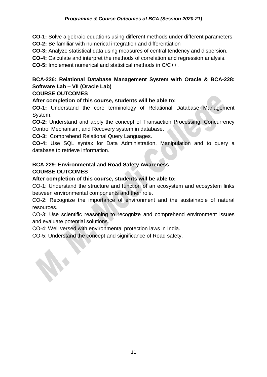**CO-1:** Solve algebraic equations using different methods under different parameters.

**CO-2:** Be familiar with numerical integration and differentiation

**CO-3:** Analyze statistical data using measures of central tendency and dispersion.

**CO-4:** Calculate and interpret the methods of correlation and regression analysis.

**CO-5:** Implement numerical and statistical methods in C/C++.

## **BCA-226: Relational Database Management System with Oracle & BCA-228: Software Lab – VII (Oracle Lab)**

#### **COURSE OUTCOMES**

**After completion of this course, students will be able to:** 

**CO-1:** Understand the core terminology of Relational Database Management System.

**CO-2:** Understand and apply the concept of Transaction Processing, Concurrency Control Mechanism, and Recovery system in database.

**CO-3:** Comprehend Relational Query Languages.

**CO-4:** Use SQL syntax for Data Administration, Manipulation and to query a database to retrieve information.

## **BCA-229: Environmental and Road Safety Awareness COURSE OUTCOMES**

## **After completion of this course, students will be able to:**

CO-1: Understand the structure and function of an ecosystem and ecosystem links between environmental components and their role.

CO-2: Recognize the importance of environment and the sustainable of natural resources.

CO-3: Use scientific reasoning to recognize and comprehend environment issues and evaluate potential solutions.

CO-4: Well versed with environmental protection laws in India.

CO-5: Understand the concept and significance of Road safety.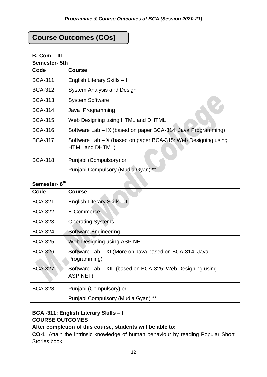## **Course Outcomes (COs)**

## **B. Com - III**

**Semester- 5th**

| Code           | <b>Course</b>                                                                    |
|----------------|----------------------------------------------------------------------------------|
| <b>BCA-311</b> | English Literary Skills - I                                                      |
| <b>BCA-312</b> | <b>System Analysis and Design</b>                                                |
| <b>BCA-313</b> | <b>System Software</b>                                                           |
| <b>BCA-314</b> | Java Programming                                                                 |
| <b>BCA-315</b> | Web Designing using HTML and DHTML                                               |
| <b>BCA-316</b> | Software Lab – IX (based on paper BCA-314: Java Programming)                     |
| <b>BCA-317</b> | Software Lab - X (based on paper BCA-315: Web Designing using<br>HTML and DHTML) |
| <b>BCA-318</b> | Punjabi (Compulsory) or                                                          |
|                | Punjabi Compulsory (Mudla Gyan) **                                               |

## **Semester- 6 th**

| יטוייטיי<br>Code | <b>Course</b>                                                          |
|------------------|------------------------------------------------------------------------|
|                  |                                                                        |
| <b>BCA-321</b>   | English Literary Skills - II                                           |
| <b>BCA-322</b>   | E-Commerce                                                             |
| <b>BCA-323</b>   | <b>Operating Systems</b>                                               |
| <b>BCA-324</b>   | Software Engineering                                                   |
| <b>BCA-325</b>   | Web Designing using ASP.NET                                            |
| <b>BCA-326</b>   | Software Lab - XI (More on Java based on BCA-314: Java<br>Programming) |
| <b>BCA-327</b>   | Software Lab – XII (based on BCA-325: Web Designing using<br>ASP.NET)  |
| <b>BCA-328</b>   | Punjabi (Compulsory) or                                                |
|                  | Punjabi Compulsory (Mudla Gyan) **                                     |

## **BCA -311: English Literary Skills – I COURSE OUTCOMES**

## **After completion of this course, students will be able to:**

**CO-1**: Attain the intrinsic knowledge of human behaviour by reading Popular Short Stories book.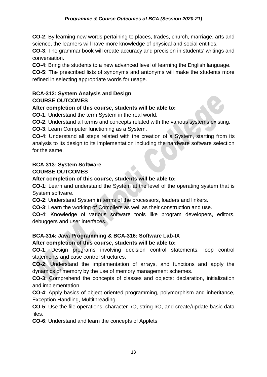**CO-2**: By learning new words pertaining to places, trades, church, marriage, arts and science, the learners will have more knowledge of physical and social entities.

**CO-3**: The grammar book will create accuracy and precision in students' writings and conversation.

**CO-4**: Bring the students to a new advanced level of learning the English language.

**CO-5**: The prescribed lists of synonyms and antonyms will make the students more refined in selecting appropriate words for usage.

#### **BCA-312: System Analysis and Design COURSE OUTCOMES**

## **After completion of this course, students will be able to:**

**CO-1**: Understand the term System in the real world.

**CO-2**: Understand all terms and concepts related with the various systems existing.

**CO-3**: Learn Computer functioning as a System.

**CO-4**: Understand all steps related with the creation of a System, starting from its analysis to its design to its implementation including the hardware software selection for the same.

## **BCA-313: System Software COURSE OUTCOMES**

## **After completion of this course, students will be able to:**

**CO-1**: Learn and understand the System at the level of the operating system that is System software.

**CO-2**: Understand System in terms of the processors, loaders and linkers.

**CO-3**: Learn the working of Compilers as well as their construction and use.

**CO-4**: Knowledge of various software tools like program developers, editors, debuggers and user interfaces.

## **BCA-314: Java Programming & BCA-316: Software Lab-IX**

## **After completion of this course, students will be able to:**

**CO-1**: Design programs involving decision control statements, loop control statements and case control structures.

**CO-2**: Understand the implementation of arrays, and functions and apply the dynamics of memory by the use of memory management schemes.

**CO-3**: Comprehend the concepts of classes and objects: declaration, initialization and implementation.

**CO-4**: Apply basics of object oriented programming, polymorphism and inheritance, Exception Handling, Multithreading.

**CO-5**: Use the file operations, character I/O, string I/O, and create/update basic data files.

**CO-6**: Understand and learn the concepts of Applets.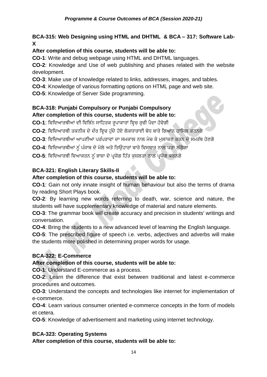## **BCA-315: Web Designing using HTML and DHTML & BCA – 317: Software Lab-X**

## **After completion of this course, students will be able to:**

**CO-1**: Write and debug webpage using HTML and DHTML languages.

**CO-2**: Knowledge and Use of web publishing and phases related with the website development.

**CO-3**: Make use of knowledge related to links, addresses, images, and tables.

**CO-4**: Knowledge of various formatting options on HTML page and web site.

**CO-5**: Knowledge of Server Side programming.

## **BCA-318: Punjabi Compulsory or Punjabi Compulsory After completion of this course, students will be able to:**

CO-1: ਵਿਦਿਆਰਥੀਆਂ ਦੀ ਵਿਭਿੰਨ ਸਾਹਿਤਕ ਰਪਾਕਾਰਾਂ ਵਿਚ ਰਚੀ ਪੈਦਾ ਹੋਵੇਗੀ

CO-2: ਵਿਦਿਆਰਥੀ ਤਕਨੀਕ ਦੇ ਦੌਰ ਵਿਚ ਹੁੰਦੇ ਹੋਏ ਲੋਕਧਾਰਾਈ ਬੋਧ ਬਾਰੇ ਗਿਆਨ ਹਾਸਿਲ ਕਰਨਗੇ

**CO-3**: ਵਿਦਿਆਰਥੀਆਂ ਆਪਣੀਆਂ ਪਰੰਪਰਾਵਾਂ ਦਾ ਸਮਕਾਲ ਨਾਲ ਮੇਚ ਕੇ ਮਲਾਂਕਣ ਕਰਨ ਦੇ ਸਮਰੱਥ ਹੋਣਗੇ

CO-4: ਵਿਦਿਆਰਥੀਆਂ ਨੂੰ ਪੰਜਾਬ ਦੇ ਮੇਲੇ ਅਤੇ ਤਿਉਹਾਰਾਂ ਬਾਰੇ ਵਿਸਥਾਰ ਨਾਲ ਪਤਾ ਲੱਗੇਗਾ

CO-5: ਵਿਦਿਆਰਥੀ ਵਿਆਕਰਨ ਨੂੰ ਭਾਸ਼ਾ ਦੇ ਪ੍ਰਯੋਗ ਹਿੱਤ ਕੁਸ਼ਲਤਾ ਨਾਲ ਪ੍ਰਯੋਗ ਕਰਨਗੇ

## **BCA-321: English Literary Skills-II**

## **After completion of this course, students will be able to:**

**CO-1**: Gain not only innate insight of human behaviour but also the terms of drama by reading Short Plays book.

**CO-2**: By learning new words referring to death, war, science and nature, the students will have supplementary knowledge of material and nature elements.

**CO-3**: The grammar book will create accuracy and precision in students' writings and conversation.

**CO-4**: Bring the students to a new advanced level of learning the English language.

**CO-5**: The prescribed figure of speech i.e. verbs, adjectives and adverbs will make the students more polished in determining proper words for usage.

## **BCA-322: E-Commerce**

## **After completion of this course, students will be able to:**

**CO-1**: Understand E-commerce as a process.

**CO-2**: Learn the difference that exist between traditional and latest e-commerce procedures and outcomes.

**CO-3**: Understand the concepts and technologies like internet for implementation of e-commerce.

**CO-4**: Learn various consumer oriented e-commerce concepts in the form of models et cetera.

**CO-5**: Knowledge of advertisement and marketing using internet technology.

## **BCA-323: Operating Systems**

**After completion of this course, students will be able to:**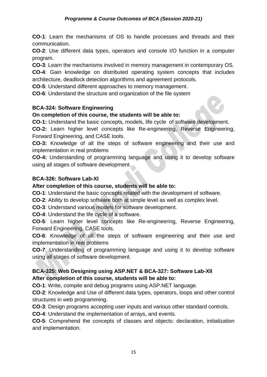**CO-1**: Learn the mechanisms of OS to handle processes and threads and their communication.

**CO-2**: Use different data types, operators and console I/O function in a computer program.

**CO-3**: Learn the mechanisms involved in memory management in contemporary OS.

**CO-4**: Gain knowledge on distributed operating system concepts that includes architecture, deadlock detection algorithms and agreement protocols.

**CO-5**: Understand different approaches to memory management.

**CO-6**: Understand the structure and organization of the file system

## **BCA-324: Software Engineering**

## **On completion of this course, the students will be able to:**

**CO-1:** Understand the basic concepts, models, life cycle of software development.

**CO-2:** Learn higher level concepts like Re-engineering, Reverse Engineering, Forward Engineering, and CASE tools.

**CO-3:** Knowledge of all the steps of software engineering and their use and implementation in real problems

**CO-4:** Understanding of programming language and using it to develop software using all stages of software development.

## **BCA-326: Software Lab-XI**

## **After completion of this course, students will be able to:**

**CO-1**: Understand the basic concepts related with the development of software.

**CO-2**: Ability to develop software both at simple level as well as complex level.

**CO-3**: Understand various models for software development.

**CO-4**: Understand the life cycle of a software.

**CO-5**: Learn higher level concepts like Re-engineering, Reverse Engineering, Forward Engineering, CASE tools.

**CO-6**: Knowledge of all the steps of software engineering and their use and implementation in real problems

**CO-7**: Understanding of programming language and using it to develop software using all stages of software development.

## **BCA-325: Web Designing using ASP.NET & BCA-327: Software Lab-XII After completion of this course, students will be able to:**

**CO-1**: Write, compile and debug programs using ASP.NET language.

**CO-2**: Knowledge and Use of different data types, operators, loops and other control structures in web programming.

**CO-3**: Design programs accepting user inputs and various other standard controls.

**CO-4**: Understand the implementation of arrays, and events.

**CO-5**: Comprehend the concepts of classes and objects: declaration, initialization and implementation.